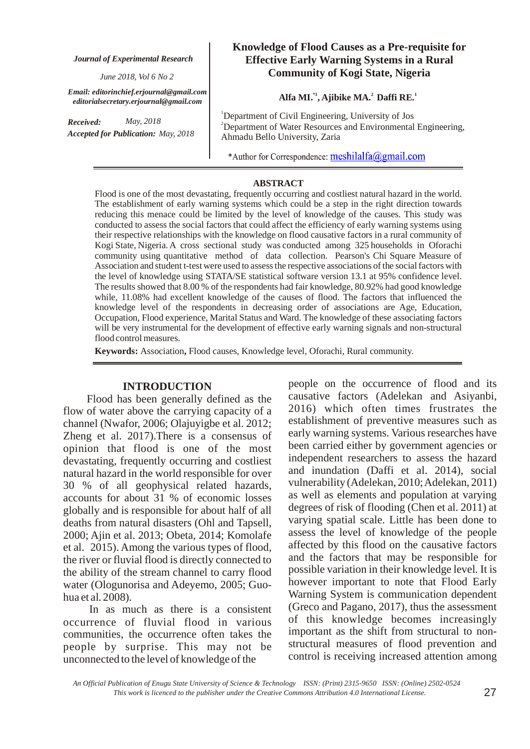*Journal of Experimental Research*

*June 2018, Vol 6 No 2*

*Email: editorinchief.erjournal@gmail.com editorialsecretary.erjournal@gmail.com*

*Received: Accepted for Publication: May, 2018 May, 2018*

# **Knowledge of Flood Causes as a Pre-requisite for Effective Early Warning Systems in a Rural Community of Kogi State, Nigeria**

### Alfa MI.<sup>\*1</sup>, Ajibike MA.<sup>2</sup> Daffi RE.<sup>1</sup>

<sup>1</sup>Department of Civil Engineering, University of Jos <sup>2</sup>Department of Water Resources and Environmental Engineering, Ahmadu Bello University, Zaria

\*Author for Correspondence: meshilalfa@gmail.com

#### **ABSTRACT**

Flood is one of the most devastating, frequently occurring and costliest natural hazard in the world. The establishment of early warning systems which could be a step in the right direction towards reducing this menace could be limited by the level of knowledge of the causes. This study was conducted to assess the social factors that could affect the efficiency of early warning systems using their respective relationships with the knowledge on flood causative factors in a rural community of Kogi State, Nigeria. A cross sectional study was conducted among 325 households in Oforachi community using quantitative method of data collection. Pearson's Chi Square Measure of Association and student t-test were used to assess the respective associations of the social factors with the level of knowledge using STATA/SE statistical software version 13.1 at 95% confidence level. The results showed that 8.00 % of the respondents had fair knowledge, 80.92% had good knowledge while, 11.08% had excellent knowledge of the causes of flood. The factors that influenced the knowledge level of the respondents in decreasing order of associations are Age, Education, Occupation, Flood experience, Marital Status and Ward. The knowledge of these associating factors will be very instrumental for the development of effective early warning signals and non-structural flood control measures.

Keywords: Association, Flood causes, Knowledge level, Oforachi, Rural community.

## **INTRODUCTION**

Flood has been generally defined as the flow of water above the carrying capacity of a channel (Nwafor, 2006; Olajuyigbe et al. 2012; Zheng et al. 2017).There is a consensus of opinion that flood is one of the most devastating, frequently occurring and costliest natural hazard in the world responsible for over 30 % of all geophysical related hazards, accounts for about 31 % of economic losses globally and is responsible for about half of all deaths from natural disasters (Ohl and Tapsell, 2000; Ajin et al. 2013; Obeta, 2014; Komolafe et al. 2015). Among the various types of flood, the river or fluvial flood is directly connected to the ability of the stream channel to carry flood water (Ologunorisa and Adeyemo, 2005; Guohua et al. 2008).

In as much as there is a consistent occurrence of fluvial flood in various communities, the occurrence often takes the people by surprise. This may not be unconnected to the level of knowledge of the

people on the occurrence of flood and its causative factors (Adelekan and Asiyanbi, 2016) which often times frustrates the establishment of preventive measures such as early warning systems. Various researches have been carried either by government agencies or independent researchers to assess the hazard and inundation (Daffi et al. 2014), social vulnerability (Adelekan, 2010; Adelekan, 2011) as well as elements and population at varying degrees of risk of flooding (Chen et al. 2011) at varying spatial scale. Little has been done to assess the level of knowledge of the people affected by this flood on the causative factors and the factors that may be responsible for possible variation in their knowledge level. It is however important to note that Flood Early Warning System is communication dependent (Greco and Pagano, 2017), thus the assessment of this knowledge becomes increasingly important as the shift from structural to nonstructural measures of flood prevention and control is receiving increased attention among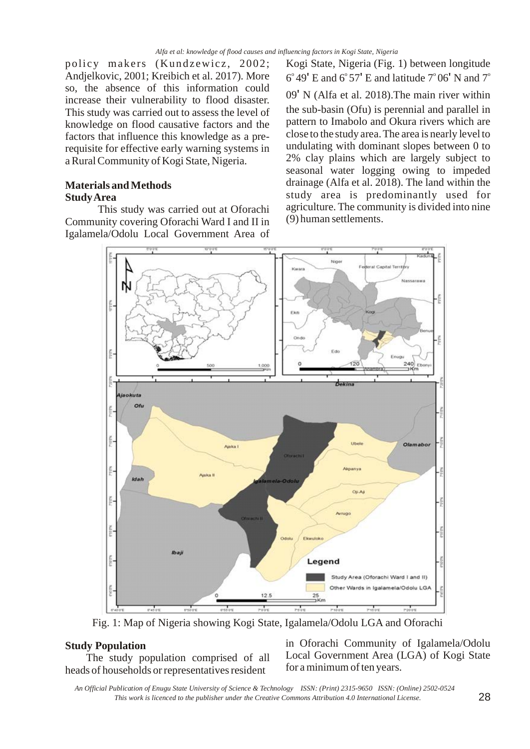*Alfa et al: knowledge of flood causes and influencing factors in Kogi State, Nigeria*

policy makers (Kundzewicz, 2002; Andjelkovic, 2001; Kreibich et al. 2017). More so, the absence of this information could increase their vulnerability to flood disaster. This study was carried out to assess the level of knowledge on flood causative factors and the factors that influence this knowledge as a prerequisite for effective early warning systems in a Rural Community of Kogi State, Nigeria.

## **Materials and Methods Study Area**

This study was carried out at Oforachi Community covering Oforachi Ward I and II in Igalamela/Odolu Local Government Area of Kogi State, Nigeria (Fig. 1) between longitude 6° 49' E and 6° 57' E and latitude  $7^{\circ}$  06' N and  $7^{\circ}$  $09'$  N (Alfa et al. 2018). The main river within the sub-basin (Ofu) is perennial and parallel in pattern to Imabolo and Okura rivers which are close to the study area. The area is nearly level to undulating with dominant slopes between 0 to 2% clay plains which are largely subject to seasonal water logging owing to impeded drainage (Alfa et al. 2018). The land within the study area is predominantly used for agriculture. The community is divided into nine (9) human settlements.



Fig. 1: Map of Nigeria showing Kogi State, Igalamela/Odolu LGA and Oforachi

### **Study Population**

The study population comprised of all heads of households or representatives resident

in Oforachi Community of Igalamela/Odolu Local Government Area (LGA) of Kogi State for a minimum of ten years.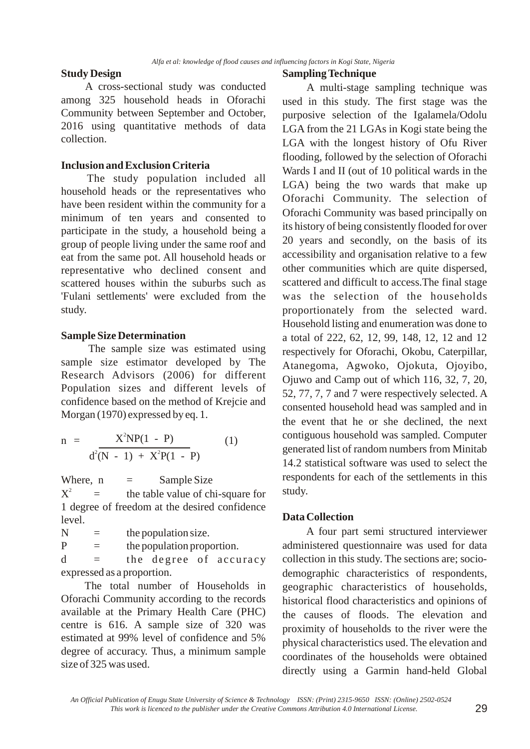## **Study Design**

A cross-sectional study was conducted among 325 household heads in Oforachi Community between September and October, 2016 using quantitative methods of data collection.

# **Inclusion and Exclusion Criteria**

The study population included all household heads or the representatives who have been resident within the community for a minimum of ten years and consented to participate in the study, a household being a group of people living under the same roof and eat from the same pot. All household heads or representative who declined consent and scattered houses within the suburbs such as 'Fulani settlements' were excluded from the study.

# **Sample Size Determination**

The sample size was estimated using sample size estimator developed by The Research Advisors (2006) for different Population sizes and different levels of confidence based on the method of Krejcie and Morgan (1970) expressed by eq. 1.

$$
n = \frac{X^{2}NP(1 - P)}{d^{2}(N - 1) + X^{2}P(1 - P)}
$$
 (1)

Where,  $n =$  Sample Size  $\equiv$  the table value of chi-square for 1 degree of freedom at the desired confidence level.  $X^2$ 

 $N =$  the population size.  $P =$  the population proportion.

 $d =$  the degree of accuracy expressed as a proportion.

The total number of Households in Oforachi Community according to the records available at the Primary Health Care (PHC) centre is 616. A sample size of 320 was estimated at 99% level of confidence and 5% degree of accuracy. Thus, a minimum sample size of 325 was used.

## **Sampling Technique**

A multi-stage sampling technique was used in this study. The first stage was the purposive selection of the Igalamela/Odolu LGA from the 21 LGAs in Kogi state being the LGA with the longest history of Ofu River flooding, followed by the selection of Oforachi Wards I and II (out of 10 political wards in the LGA) being the two wards that make up Oforachi Community. The selection of Oforachi Community was based principally on its history of being consistently flooded for over 20 years and secondly, on the basis of its accessibility and organisation relative to a few other communities which are quite dispersed, scattered and difficult to access.The final stage was the selection of the households proportionately from the selected ward. Household listing and enumeration was done to a total of 222, 62, 12, 99, 148, 12, 12 and 12 respectively for Oforachi, Okobu, Caterpillar, Atanegoma, Agwoko, Ojokuta, Ojoyibo, Ojuwo and Camp out of which 116, 32, 7, 20, 52, 77, 7, 7 and 7 were respectively selected. A consented household head was sampled and in the event that he or she declined, the next contiguous household was sampled. Computer generated list of random numbers from Minitab 14.2 statistical software was used to select the respondents for each of the settlements in this study.

## **Data Collection**

A four part semi structured interviewer administered questionnaire was used for data collection in this study. The sections are; sociodemographic characteristics of respondents, geographic characteristics of households, historical flood characteristics and opinions of the causes of floods. The elevation and proximity of households to the river were the physical characteristics used. The elevation and coordinates of the households were obtained directly using a Garmin hand-held Global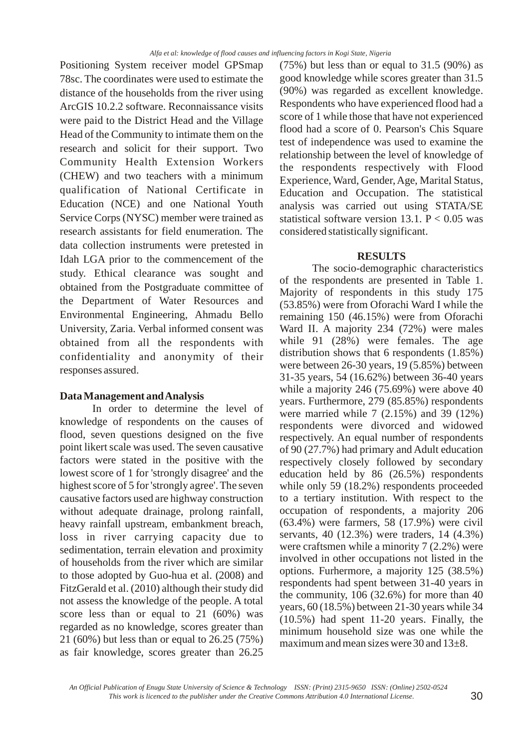Positioning System receiver model GPSmap 78sc. The coordinates were used to estimate the distance of the households from the river using ArcGIS 10.2.2 software. Reconnaissance visits were paid to the District Head and the Village Head of the Community to intimate them on the research and solicit for their support. Two Community Health Extension Workers (CHEW) and two teachers with a minimum qualification of National Certificate in Education (NCE) and one National Youth Service Corps (NYSC) member were trained as research assistants for field enumeration. The data collection instruments were pretested in Idah LGA prior to the commencement of the study. Ethical clearance was sought and obtained from the Postgraduate committee of the Department of Water Resources and Environmental Engineering, Ahmadu Bello University, Zaria. Verbal informed consent was obtained from all the respondents with confidentiality and anonymity of their responses assured.

### **Data Management and Analysis**

In order to determine the level of knowledge of respondents on the causes of flood, seven questions designed on the five point likert scale was used. The seven causative factors were stated in the positive with the lowest score of 1 for 'strongly disagree' and the highest score of 5 for 'strongly agree'. The seven causative factors used are highway construction without adequate drainage, prolong rainfall, heavy rainfall upstream, embankment breach, loss in river carrying capacity due to sedimentation, terrain elevation and proximity of households from the river which are similar to those adopted by Guo-hua et al. (2008) and FitzGerald et al. (2010) although their study did not assess the knowledge of the people. A total score less than or equal to 21 (60%) was regarded as no knowledge, scores greater than 21 (60%) but less than or equal to 26.25 (75%) as fair knowledge, scores greater than 26.25  $(75%)$  but less than or equal to  $31.5$  (90%) as good knowledge while scores greater than 31.5 (90%) was regarded as excellent knowledge. Respondents who have experienced flood had a score of 1 while those that have not experienced flood had a score of 0. Pearson's Chis Square test of independence was used to examine the relationship between the level of knowledge of the respondents respectively with Flood Experience, Ward, Gender, Age, Marital Status, Education and Occupation. The statistical analysis was carried out using STATA/SE statistical software version 13.1.  $P < 0.05$  was considered statistically significant.

#### **RESULTS**

The socio-demographic characteristics of the respondents are presented in Table 1. Majority of respondents in this study 175 (53.85%) were from Oforachi Ward I while the remaining 150 (46.15%) were from Oforachi Ward II. A majority 234 (72%) were males while 91 (28%) were females. The age distribution shows that 6 respondents (1.85%) were between 26-30 years, 19 (5.85%) between 31-35 years, 54 (16.62%) between 36-40 years while a majority 246 (75.69%) were above 40 years. Furthermore, 279 (85.85%) respondents were married while 7 (2.15%) and 39 (12%) respondents were divorced and widowed respectively. An equal number of respondents of 90 (27.7%) had primary and Adult education respectively closely followed by secondary education held by 86 (26.5%) respondents while only 59 (18.2%) respondents proceeded to a tertiary institution. With respect to the occupation of respondents, a majority 206 (63.4%) were farmers, 58 (17.9%) were civil servants, 40 (12.3%) were traders, 14 (4.3%) were craftsmen while a minority 7 (2.2%) were involved in other occupations not listed in the options. Furhermore, a majority 125 (38.5%) respondents had spent between 31-40 years in the community, 106 (32.6%) for more than 40 years, 60 (18.5%) between 21-30 years while 34 (10.5%) had spent 11-20 years. Finally, the minimum household size was one while the maximum and mean sizes were 30 and  $13\pm8$ .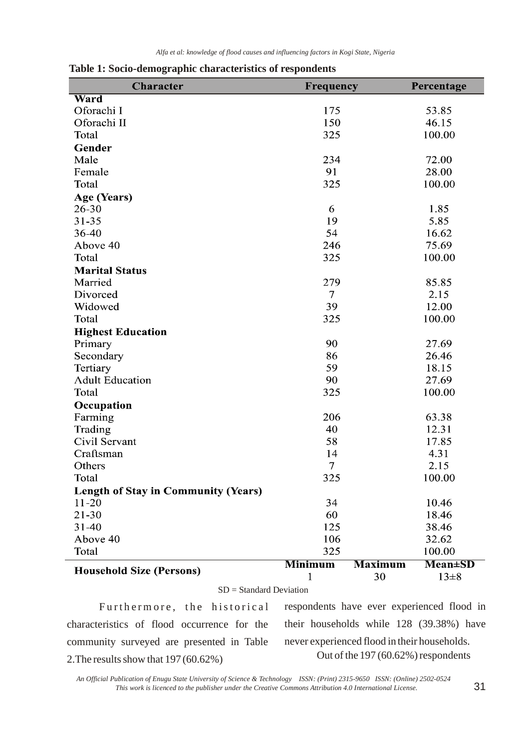| <b>Character</b>                           | Frequency      |                | Percentage     |
|--------------------------------------------|----------------|----------------|----------------|
| Ward                                       |                |                |                |
| Oforachi I                                 | 175            |                | 53.85          |
| Oforachi II                                | 150            |                | 46.15          |
| Total                                      | 325            |                | 100.00         |
| <b>Gender</b>                              |                |                |                |
| Male                                       | 234            |                | 72.00          |
| Female                                     | 91             |                | 28.00          |
| Total                                      | 325            |                | 100.00         |
| Age (Years)                                |                |                |                |
| $26 - 30$                                  | 6              |                | 1.85           |
| $31 - 35$                                  | 19             |                | 5.85           |
| 36-40                                      | 54             |                | 16.62          |
| Above 40                                   | 246            |                | 75.69          |
| Total                                      | 325            |                | 100.00         |
| <b>Marital Status</b>                      |                |                |                |
| Married                                    | 279            |                | 85.85          |
| Divorced                                   | $\overline{7}$ |                | 2.15           |
| Widowed                                    | 39             |                | 12.00          |
| Total                                      | 325            |                | 100.00         |
| <b>Highest Education</b>                   |                |                |                |
| Primary                                    | 90             |                | 27.69          |
| Secondary                                  | 86             |                | 26.46          |
| Tertiary                                   | 59             |                | 18.15          |
| <b>Adult Education</b>                     | 90             |                | 27.69          |
| Total                                      | 325            |                | 100.00         |
| Occupation                                 |                |                |                |
| Farming                                    | 206            |                | 63.38          |
| Trading                                    | 40             |                | 12.31          |
| Civil Servant                              | 58             |                | 17.85          |
| Craftsman                                  | 14             |                | 4.31           |
| Others                                     | $\tau$         |                | 2.15           |
| Total                                      | 325            |                | 100.00         |
| <b>Length of Stay in Community (Years)</b> |                |                |                |
| $11 - 20$                                  | 34             |                | 10.46          |
| $21 - 30$                                  | 60             |                | 18.46          |
| $31 - 40$                                  | 125            |                | 38.46          |
| Above 40                                   | 106            |                | 32.62          |
| Total                                      | 325            |                | 100.00         |
|                                            | <b>Minimum</b> | <b>Maximum</b> | <b>Mean±SD</b> |
| <b>Household Size (Persons)</b>            |                | 30             | $13 \pm 8$     |

**Table 1: Socio-demographic characteristics of respondents**

SD = Standard Deviation

Furthermore, the historical characteristics of flood occurrence for the community surveyed are presented in Table 2.The results show that 197 (60.62%)

respondents have ever experienced flood in their households while 128 (39.38%) have never experienced flood in their households. Out of the 197 (60.62%) respondents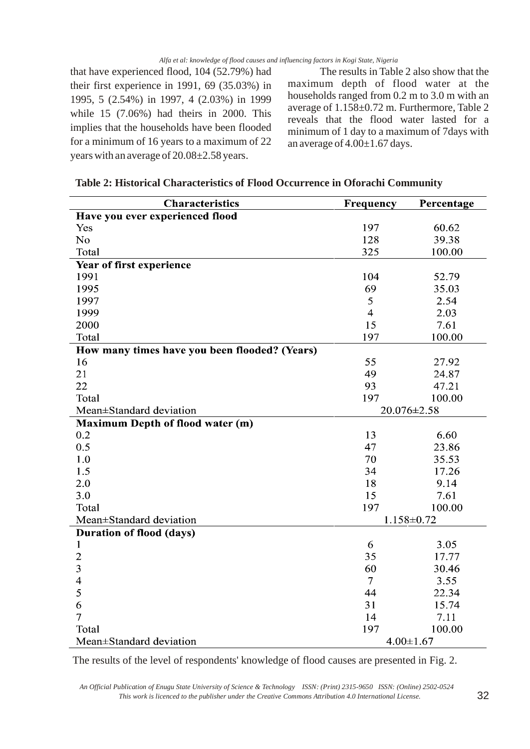that have experienced flood, 104 (52.79%) had their first experience in 1991, 69 (35.03%) in 1995, 5 (2.54%) in 1997, 4 (2.03%) in 1999 while 15 (7.06%) had theirs in 2000. This implies that the households have been flooded for a minimum of 16 years to a maximum of 22 years with an average of 20.08±2.58 years.

The results in Table 2 also show that the maximum depth of flood water at the households ranged from 0.2 m to 3.0 m with an average of 1.158±0.72 m. Furthermore, Table 2 reveals that the flood water lasted for a minimum of 1 day to a maximum of 7days with an average of  $4.00 \pm 1.67$  days.

| <b>Characteristics</b>                        | <b>Frequency</b> | Percentage       |  |
|-----------------------------------------------|------------------|------------------|--|
| Have you ever experienced flood               |                  |                  |  |
| Yes                                           | 197              | 60.62            |  |
| No                                            | 128              | 39.38            |  |
| Total                                         | 325              | 100.00           |  |
| Year of first experience                      |                  |                  |  |
| 1991                                          | 104              | 52.79            |  |
| 1995                                          | 69               | 35.03            |  |
| 1997                                          | 5                | 2.54             |  |
| 1999                                          | $\overline{4}$   | 2.03             |  |
| 2000                                          | 15               | 7.61             |  |
| Total                                         | 197              | 100.00           |  |
| How many times have you been flooded? (Years) |                  |                  |  |
| 16                                            | 55               | 27.92            |  |
| 21                                            | 49               | 24.87            |  |
| 22                                            | 93               | 47.21            |  |
| Total                                         | 197              | 100.00           |  |
| Mean±Standard deviation                       | 20.076±2.58      |                  |  |
| <b>Maximum Depth of flood water (m)</b>       |                  |                  |  |
| 0.2                                           | 13               | 6.60             |  |
| 0.5                                           | 47               | 23.86            |  |
| 1.0                                           | 70               | 35.53            |  |
| 1.5                                           | 34               | 17.26            |  |
| 2.0                                           | 18               | 9.14             |  |
| 3.0                                           | 15               | 7.61             |  |
| Total                                         | 197              | 100.00           |  |
| Mean±Standard deviation                       |                  | $1.158 \pm 0.72$ |  |
| <b>Duration of flood (days)</b>               |                  |                  |  |
| 1                                             | 6                | 3.05             |  |
| $\overline{2}$                                | 35               | 17.77            |  |
| 3                                             | 60               | 30.46            |  |
| $\overline{\mathcal{A}}$                      | $\overline{7}$   | 3.55             |  |
| 5                                             | 44               | 22.34            |  |
| 6                                             | 31               | 15.74            |  |
| $\overline{7}$                                | 14               | 7.11             |  |
| Total                                         | 197              | 100.00           |  |
| Mean±Standard deviation                       | 4.00 $\pm$ 1.67  |                  |  |

| Table 2: Historical Characteristics of Flood Occurrence in Oforachi Community |  |
|-------------------------------------------------------------------------------|--|
|-------------------------------------------------------------------------------|--|

The results of the level of respondents' knowledge of flood causes are presented in Fig. 2.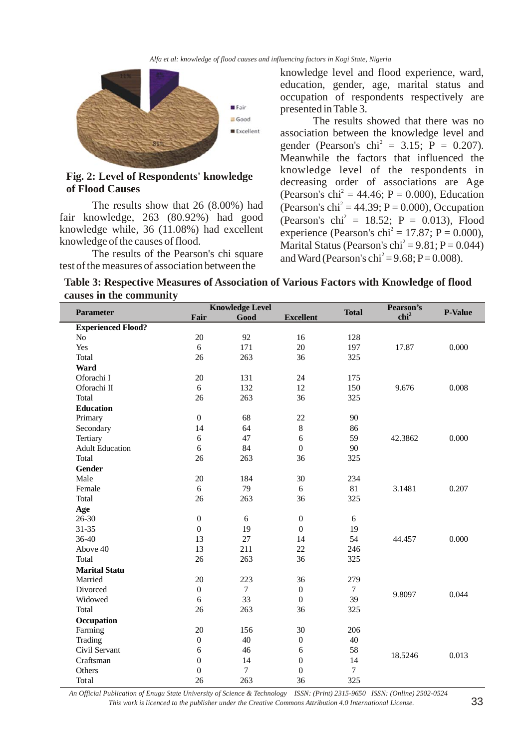*Alfa et al: knowledge of flood causes and influencing factors in Kogi State, Nigeria*



**Fig. 2: Level of Respondents' knowledge of Flood Causes**

The results show that 26 (8.00%) had fair knowledge, 263 (80.92%) had good knowledge while, 36 (11.08%) had excellent knowledge of the causes of flood.

The results of the Pearson's chi square test of the measures of association between the

knowledge level and flood experience, ward, education, gender, age, marital status and occupation of respondents respectively are presented in Table 3.

The results showed that there was no association between the knowledge level and gender (Pearson's chi<sup>2</sup> = 3.15; P = 0.207). Meanwhile the factors that influenced the knowledge level of the respondents in decreasing order of associations are Age (Pearson's chi<sup>2</sup> = 44.46; P = 0.000), Education (Pearson's chi<sup>2</sup> = 44.39; P = 0.000), Occupation (Pearson's  $\text{chi}^2 = 18.52$ ; P = 0.013), Flood experience (Pearson's chi<sup>2</sup> = 17.87; P = 0.000), Marital Status (Pearson's chi<sup>2</sup> = 9.81; P = 0.044) and Ward (Pearson's chi<sup>2</sup> = 9.68; P = 0.008).

| Table 3: Respective Measures of Association of Various Factors with Knowledge of flood |  |  |  |
|----------------------------------------------------------------------------------------|--|--|--|
| causes in the community                                                                |  |  |  |

|                           |                  | <b>Knowledge Level</b> |                  |                | Pearson's        |                |
|---------------------------|------------------|------------------------|------------------|----------------|------------------|----------------|
| Parameter                 | Fair             | Good                   | <b>Excellent</b> | <b>Total</b>   | chi <sup>2</sup> | <b>P-Value</b> |
| <b>Experienced Flood?</b> |                  |                        |                  |                |                  |                |
| No                        | 20               | 92                     | 16               | 128            | 17.87            | 0.000          |
| Yes                       | 6                | 171                    | 20               | 197            |                  |                |
| Total                     | 26               | 263                    | 36               | 325            |                  |                |
| Ward                      |                  |                        |                  |                |                  |                |
| Oforachi I                | 20               | 131                    | 24               | 175            |                  | 0.008          |
| Oforachi II               | 6                | 132                    | 12               | 150            | 9.676            |                |
| Total                     | 26               | 263                    | 36               | 325            |                  |                |
| <b>Education</b>          |                  |                        |                  |                |                  |                |
| Primary                   | $\boldsymbol{0}$ | 68                     | 22               | 90             |                  | 0.000          |
| Secondary                 | 14               | 64                     | $\,8\,$          | 86             |                  |                |
| Tertiary                  | $\sqrt{6}$       | 47                     | 6                | 59             | 42.3862          |                |
| <b>Adult Education</b>    | 6                | 84                     | $\mathbf{0}$     | 90             |                  |                |
| Total                     | 26               | 263                    | 36               | 325            |                  |                |
| Gender                    |                  |                        |                  |                |                  |                |
| Male                      | 20               | 184                    | 30               | 234            |                  | 0.207          |
| Female                    | 6                | 79                     | 6                | 81             | 3.1481           |                |
| Total                     | 26               | 263                    | 36               | 325            |                  |                |
| Age                       |                  |                        |                  |                |                  |                |
| $26 - 30$                 | $\boldsymbol{0}$ | 6                      | $\boldsymbol{0}$ | 6              |                  | 0.000          |
| $31 - 35$                 | $\boldsymbol{0}$ | 19                     | $\mathbf{0}$     | 19             |                  |                |
| $36 - 40$                 | 13               | 27                     | 14               | 54             | 44.457           |                |
| Above 40                  | 13               | 211                    | 22               | 246            |                  |                |
| Total                     | 26               | 263                    | 36               | 325            |                  |                |
| <b>Marital Statu</b>      |                  |                        |                  |                |                  |                |
| Married                   | 20               | 223                    | 36               | 279            |                  | 0.044          |
| Divorced                  | $\boldsymbol{0}$ | $\tau$                 | $\boldsymbol{0}$ | $\overline{7}$ | 9.8097           |                |
| Widowed                   | $\sqrt{6}$       | 33                     | $\boldsymbol{0}$ | 39             |                  |                |
| Total                     | 26               | 263                    | 36               | 325            |                  |                |
| Occupation                |                  |                        |                  |                |                  |                |
| Farming                   | 20               | 156                    | 30               | 206            |                  |                |
| Trading                   | $\boldsymbol{0}$ | 40                     | $\boldsymbol{0}$ | 40             |                  | 0.013          |
| Civil Servant             | 6                | 46                     | 6                | 58             | 18.5246          |                |
| Craftsman                 | $\boldsymbol{0}$ | 14                     | $\boldsymbol{0}$ | 14             |                  |                |
| Others                    | $\boldsymbol{0}$ | $\overline{7}$         | $\boldsymbol{0}$ | $\overline{7}$ |                  |                |
| Total                     | 26               | 263                    | 36               | 325            |                  |                |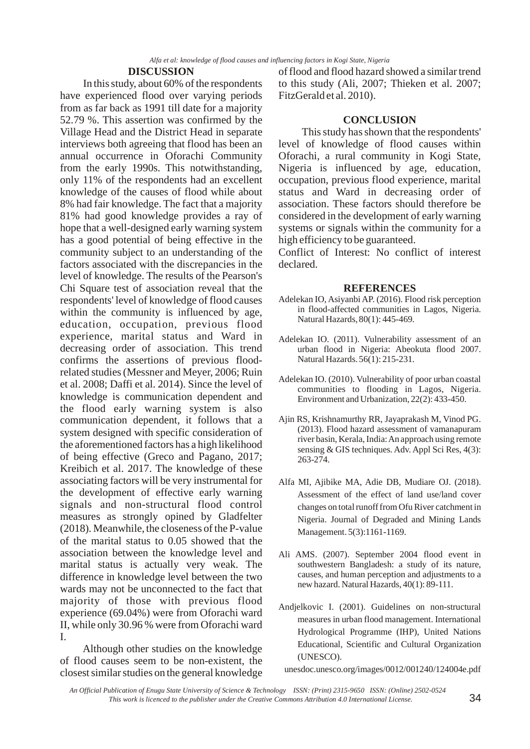### **DISCUSSION**

In this study, about 60% of the respondents have experienced flood over varying periods from as far back as 1991 till date for a majority 52.79 %. This assertion was confirmed by the Village Head and the District Head in separate interviews both agreeing that flood has been an annual occurrence in Oforachi Community from the early 1990s. This notwithstanding, only 11% of the respondents had an excellent knowledge of the causes of flood while about 8% had fair knowledge. The fact that a majority 81% had good knowledge provides a ray of hope that a well-designed early warning system has a good potential of being effective in the community subject to an understanding of the factors associated with the discrepancies in the level of knowledge. The results of the Pearson's Chi Square test of association reveal that the respondents' level of knowledge of flood causes within the community is influenced by age, education, occupation, previous flood experience, marital status and Ward in decreasing order of association. This trend confirms the assertions of previous floodrelated studies (Messner and Meyer, 2006; Ruin et al. 2008; Daffi et al. 2014). Since the level of knowledge is communication dependent and the flood early warning system is also communication dependent, it follows that a system designed with specific consideration of the aforementioned factors has a high likelihood of being effective (Greco and Pagano, 2017; Kreibich et al. 2017. The knowledge of these associating factors will be very instrumental for the development of effective early warning signals and non-structural flood control measures as strongly opined by Gladfelter (2018). Meanwhile, the closeness of the P-value of the marital status to 0.05 showed that the association between the knowledge level and marital status is actually very weak. The difference in knowledge level between the two wards may not be unconnected to the fact that majority of those with previous flood experience (69.04%) were from Oforachi ward II, while only 30.96 % were from Oforachi ward I.

Although other studies on the knowledge of flood causes seem to be non-existent, the closest similar studies on the general knowledge

of flood and flood hazard showed a similar trend to this study (Ali, 2007; Thieken et al. 2007; FitzGerald et al. 2010).

#### **CONCLUSION**

This study has shown that the respondents' level of knowledge of flood causes within Oforachi, a rural community in Kogi State, Nigeria is influenced by age, education, occupation, previous flood experience, marital status and Ward in decreasing order of association. These factors should therefore be considered in the development of early warning systems or signals within the community for a high efficiency to be guaranteed.

Conflict of Interest: No conflict of interest declared.

#### **REFERENCES**

- Adelekan IO, Asiyanbi AP. (2016). Flood risk perception in flood-affected communities in Lagos, Nigeria. Natural Hazards, 80(1): 445-469.
- Adelekan IO. (2011). Vulnerability assessment of an urban flood in Nigeria: Abeokuta flood 2007. Natural Hazards. 56(1): 215-231.
- Adelekan IO. (2010). Vulnerability of poor urban coastal communities to flooding in Lagos, Nigeria. Environment and Urbanization, 22(2): 433-450.
- Ajin RS, Krishnamurthy RR, Jayaprakash M, Vinod PG. (2013). Flood hazard assessment of vamanapuram river basin, Kerala, India: An approach using remote sensing & GIS techniques. Adv. Appl Sci Res, 4(3): 263-274.
- Alfa MI, Ajibike MA, Adie DB, Mudiare OJ. (2018). Assessment of the effect of land use/land cover changes on total runoff from Ofu River catchment in Nigeria. Journal of Degraded and Mining Lands Management. 5(3):1161-1169.
- Ali AMS. (2007). September 2004 flood event in southwestern Bangladesh: a study of its nature, causes, and human perception and adjustments to a new hazard. Natural Hazards, 40(1): 89-111.
- Andjelkovic I. (2001). Guidelines on non-structural measures in urban flood management. International Hydrological Programme (IHP), United Nations Educational, Scientific and Cultural Organization (UNESCO).

unesdoc.unesco.org/images/0012/001240/124004e.pdf